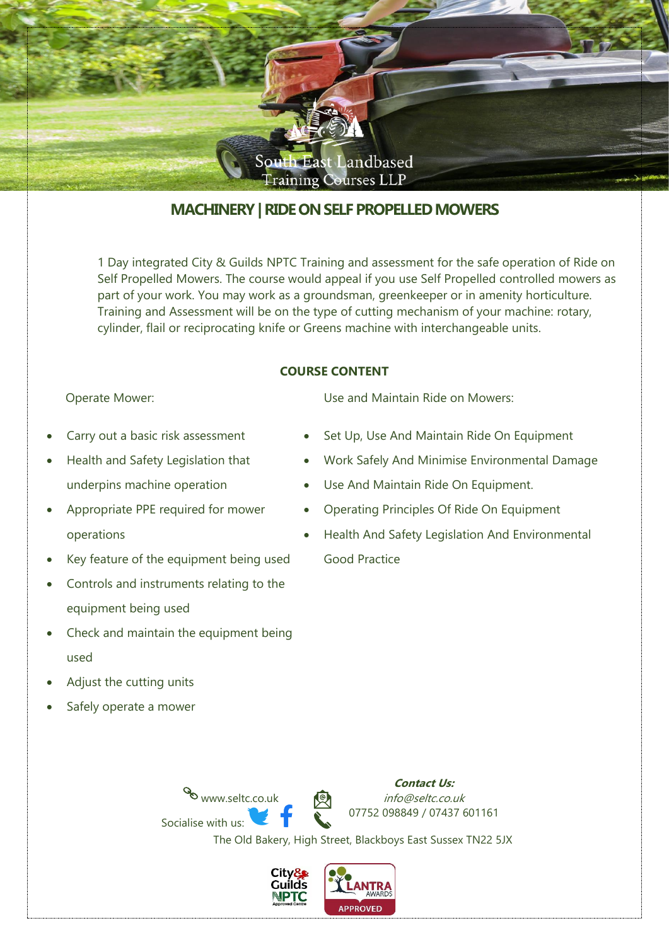

# **MACHINERY| RIDE ON SELF PROPELLED MOWERS**

1 Day integrated City & Guilds NPTC Training and assessment for the safe operation of Ride on Self Propelled Mowers. The course would appeal if you use Self Propelled controlled mowers as part of your work. You may work as a groundsman, greenkeeper or in amenity horticulture. Training and Assessment will be on the type of cutting mechanism of your machine: rotary, cylinder, flail or reciprocating knife or Greens machine with interchangeable units.

#### **COURSE CONTENT**

Operate Mower:

- Carry out a basic risk assessment
- Health and Safety Legislation that underpins machine operation
- Appropriate PPE required for mower operations
- Key feature of the equipment being used
- Controls and instruments relating to the equipment being used
- Check and maintain the equipment being used
- Adjust the cutting units
- Safely operate a mower

Use and Maintain Ride on Mowers:

- Set Up, Use And Maintain Ride On Equipment
- Work Safely And Minimise Environmental Damage
- Use And Maintain Ride On Equipment.
- Operating Principles Of Ride On Equipment
- Health And Safety Legislation And Environmental Good Practice

www.seltc.co.uk **Contact Us:** info@seltc.co.uk Socialise with us: 07752 098849 / 07437 601161 The Old Bakery, High Street, Blackboys East Sussex TN22 5JX